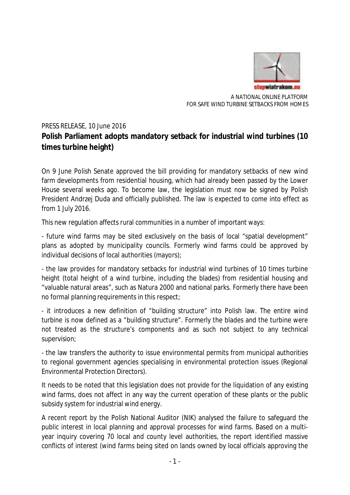

A NATIONAL ONLINE PLATFORM FOR SAFE WIND TURBINE SETBACKS FROM HOMES

## PRESS RELEASE, 10 June 2016 **Polish Parliament adopts mandatory setback for industrial wind turbines (10 times turbine height)**

On 9 June Polish Senate approved the bill providing for mandatory setbacks of new wind farm developments from residential housing, which had already been passed by the Lower House several weeks ago. To become law, the legislation must now be signed by Polish President Andrzej Duda and officially published. The law is expected to come into effect as from 1 July 2016.

This new regulation affects rural communities in a number of important ways:

- future wind farms may be sited exclusively on the basis of local "spatial development" plans as adopted by municipality councils. Formerly wind farms could be approved by individual decisions of local authorities (mayors);

- the law provides for mandatory setbacks for industrial wind turbines of 10 times turbine height (total height of a wind turbine, including the blades) from residential housing and "valuable natural areas", such as Natura 2000 and national parks. Formerly there have been no formal planning requirements in this respect;

- it introduces a new definition of "building structure" into Polish law. The entire wind turbine is now defined as a "building structure". Formerly the blades and the turbine were not treated as the structure's components and as such not subject to any technical supervision;

- the law transfers the authority to issue environmental permits from municipal authorities to regional government agencies specialising in environmental protection issues (Regional Environmental Protection Directors).

It needs to be noted that this legislation does not provide for the liquidation of any existing wind farms, does not affect in any way the current operation of these plants or the public subsidy system for industrial wind energy.

A recent report by the Polish National Auditor (NIK) analysed the failure to safeguard the public interest in local planning and approval processes for wind farms. Based on a multiyear inquiry covering 70 local and county level authorities, the report identified massive conflicts of interest (wind farms being sited on lands owned by local officials approving the